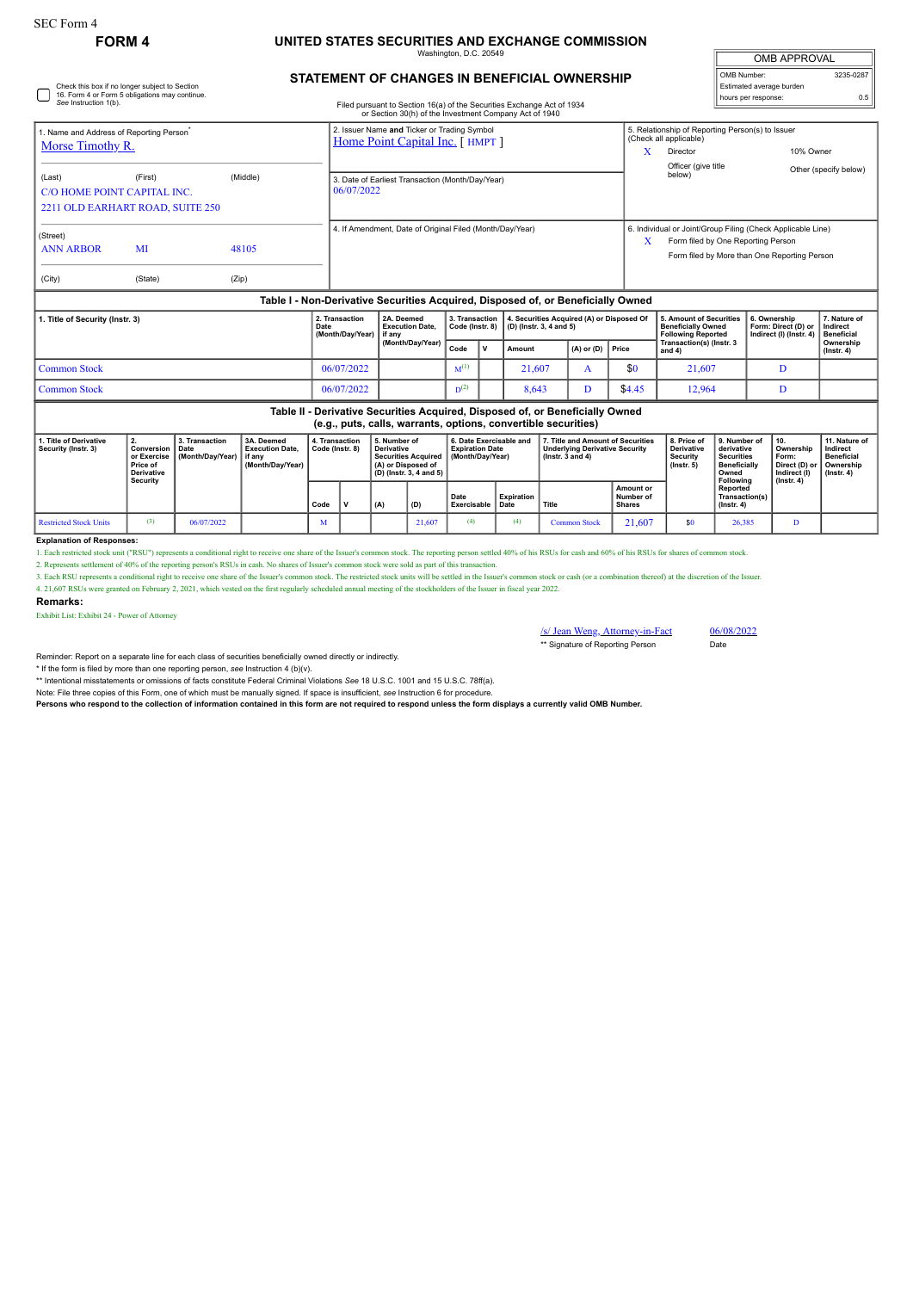Check this box if no longer subject to Section 16. Form 4 or Form 5 obligations may continue. *See* Instruction 1(b).

# **FORM 4 UNITED STATES SECURITIES AND EXCHANGE COMMISSION**

Washington, D.C. 20549

### **STATEMENT OF CHANGES IN BENEFICIAL OWNERSHIP**

Filed pursuant to Section 16(a) of the Securities Exchange Act of 1934 or Section 30(h) of the Investment Company Act of 1940

| <b>OMB APPROVAL</b>      |           |  |  |  |  |  |  |  |  |
|--------------------------|-----------|--|--|--|--|--|--|--|--|
| OMB Number:              | 3235-0287 |  |  |  |  |  |  |  |  |
| Estimated average burden |           |  |  |  |  |  |  |  |  |
| hours per response:      | 0.5       |  |  |  |  |  |  |  |  |

| 1. Name and Address of Reporting Person <sup>®</sup><br>Morse Timothy R. |                                                                            |          | 2. Issuer Name and Ticker or Trading Symbol<br>Home Point Capital Inc. [HMPT]    | 5. Relationship of Reporting Person(s) to Issuer<br>(Check all applicable)<br>X<br>10% Owner<br>Director                                               |
|--------------------------------------------------------------------------|----------------------------------------------------------------------------|----------|----------------------------------------------------------------------------------|--------------------------------------------------------------------------------------------------------------------------------------------------------|
| (Last)                                                                   | (First)<br>C/O HOME POINT CAPITAL INC.<br>2211 OLD EARHART ROAD, SUITE 250 | (Middle) | 3. Date of Earliest Transaction (Month/Day/Year)<br>06/07/2022                   | Officer (give title<br>Other (specify below)<br>below)                                                                                                 |
| (Street)<br>MI<br>48105<br><b>ANN ARBOR</b><br>(City)<br>(State)         |                                                                            | (Zip)    | 4. If Amendment, Date of Original Filed (Month/Day/Year)                         | 6. Individual or Joint/Group Filing (Check Applicable Line)<br>X<br>Form filed by One Reporting Person<br>Form filed by More than One Reporting Person |
|                                                                          |                                                                            |          | Table I - Non-Derivative Securities Acquired. Disposed of, or Beneficially Owned |                                                                                                                                                        |

| 1. Title of Security (Instr. 3) |              | 2. Transaction<br>Date<br>(Month/Dav/Year) | 2A. Deemed<br><b>Execution Date.</b><br>l if anv<br>(Month/Dav/Year) |           |              | 3. Transaction   4. Securities Acquired (A) or Disposed Of<br>$\vert$ Code (Instr. 8) $\vert$ (D) (Instr. 3, 4 and 5) |                      |        | 5. Amount of Securities<br><b>Beneficially Owned</b><br><b>Following Reported</b> | 6. Ownership<br>Form: Direct (D) or   Indirect<br>Indirect (I) (Instr. 4) | 7. Nature of<br>Beneficial    |  |
|---------------------------------|--------------|--------------------------------------------|----------------------------------------------------------------------|-----------|--------------|-----------------------------------------------------------------------------------------------------------------------|----------------------|--------|-----------------------------------------------------------------------------------|---------------------------------------------------------------------------|-------------------------------|--|
|                                 |              |                                            |                                                                      | Code      | $\mathbf{v}$ | Amount                                                                                                                | $(A)$ or $(D)$ Price |        | Transaction(s) (Instr. 3<br>and 4                                                 |                                                                           | Ownership<br>$($ lnstr $, 4)$ |  |
|                                 | Common Stock | 06/07/2022                                 |                                                                      | $M^{(1)}$ |              | 21.607                                                                                                                |                      | \$0    | 21.607                                                                            |                                                                           |                               |  |
|                                 | Common Stock | 06/07/2022                                 |                                                                      | $D^{(2)}$ |              | 8,643                                                                                                                 |                      | \$4.45 | 12,964                                                                            |                                                                           |                               |  |

|                                              | Table II - Derivative Securities Acquired, Disposed of, or Beneficially Owned<br>(e.g., puts, calls, warrants, options, convertible securities) |                                    |                                                                      |                                   |  |                                                                                                                  |        |                                                                       |                    |                                                                                                      |                                         |                                                                  |                                                                                              |                                                                                      |                                                                    |
|----------------------------------------------|-------------------------------------------------------------------------------------------------------------------------------------------------|------------------------------------|----------------------------------------------------------------------|-----------------------------------|--|------------------------------------------------------------------------------------------------------------------|--------|-----------------------------------------------------------------------|--------------------|------------------------------------------------------------------------------------------------------|-----------------------------------------|------------------------------------------------------------------|----------------------------------------------------------------------------------------------|--------------------------------------------------------------------------------------|--------------------------------------------------------------------|
| . Title of Derivative<br>Security (Instr. 3) | Conversion   Date<br>or Exercise<br>Price of<br><b>Derivative</b><br><b>Security</b>                                                            | 3. Transaction<br>(Month/Day/Year) | 3A. Deemed<br><b>Execution Date.</b><br>l if anv<br>(Month/Dav/Year) | 4. Transaction<br>Code (Instr. 8) |  | 5. Number of<br><b>Derivative</b><br><b>Securities Acquired</b><br>(A) or Disposed of<br>(D) (Instr. 3, 4 and 5) |        | 6. Date Exercisable and<br><b>Expiration Date</b><br>(Month/Dav/Year) |                    | 7. Title and Amount of Securities<br><b>Underlying Derivative Security</b><br>$($ lnstr. 3 and 4 $)$ |                                         | 8. Price of<br><b>Derivative</b><br>Security<br>$($ lnstr. 5 $)$ | 9. Number of<br>derivative<br><b>Securities</b><br><b>Beneficially</b><br>Owned<br>Following | 10.<br>Ownership<br>Form:<br>Direct (D) or   Ownership<br>Indirect (I)<br>(Instr. 4) | 11. Nature of<br>Indirect<br><b>Beneficial</b><br>$($ lnstr $, 4)$ |
|                                              |                                                                                                                                                 |                                    |                                                                      | Code                              |  | (A)                                                                                                              | (D)    | Date<br>Exercisable                                                   | Expiration<br>Date | Title                                                                                                | <b>Amount or</b><br>Number of<br>Shares |                                                                  | Reported<br><b>Transaction(s)</b><br>$($ lnstr $, 4)$                                        |                                                                                      |                                                                    |
| Restricted Stock Units                       | (3)                                                                                                                                             | 06/07/2022                         |                                                                      | M                                 |  |                                                                                                                  | 21,607 | (4)                                                                   | (4)                | <b>Common Stock</b>                                                                                  | 21.607                                  | \$0                                                              | 26,385                                                                                       |                                                                                      |                                                                    |

#### **Explanation of Responses:**

1. Each restricted stock unit ("RSU") represents a conditional right to receive one share of the Issuer's common stock. The reporting person settled 40% of his RSUs for cash and 60% of his RSUs for shares of common stock.

2. Represents settlement of 40% of the reporting person's RSUs in cash. No shares of Issuer's common stock were sold as part of this transaction.

3. Each RSU represents a conditional right to receive one share of the Issuer's common stock. The restricted stock units will be settled in the Issuer's common stock or ash (or a combination thereof) at the discretion of t 4. 21,607 RSUs were granted on February 2, 2021, which vested on the first regularly scheduled annual meeting of the stockholders of the Issuer in fiscal year 2022.

### **Remarks:**

Exhibit List: Exhibit 24 - Power of Attorney

/s/ Jean Weng, Attorney-in-Fact 06/08/2022 \*\* Signature of Reporting Person Date

Reminder: Report on a separate line for each class of securities beneficially owned directly or indirectly.

\* If the form is filed by more than one reporting person, *see* Instruction 4 (b)(v).

\*\* Intentional misstatements or omissions of facts constitute Federal Criminal Violations *See* 18 U.S.C. 1001 and 15 U.S.C. 78ff(a).

Note: File three copies of this Form, one of which must be manually signed. If space is insufficient, *see* Instruction 6 for procedure.

**Persons who respond to the collection of information contained in this form are not required to respond unless the form displays a currently valid OMB Number.**